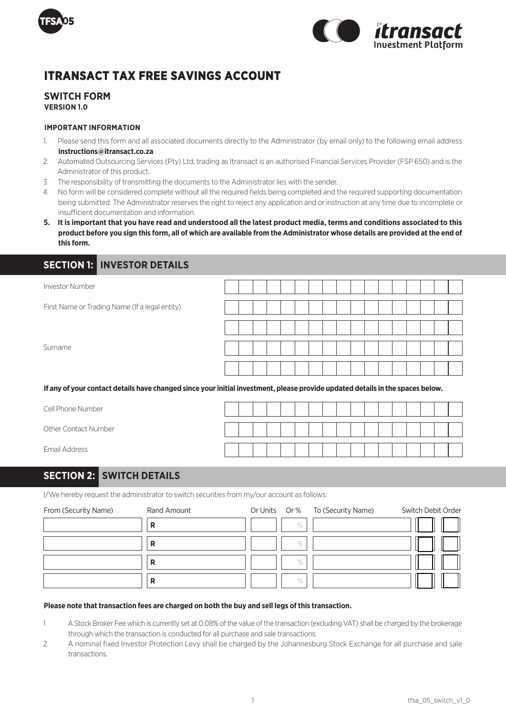



# **ITRANSACT TAX FREE SAVINGS ACCOUNT**

### **SWITCH FORM VERSION 1.0**

#### **IMPORTANT INFORMATION**

- 1. Please send this form and all associated documents directly to the Administrator (by email only) to the following email address **instructions@itransact.co.za**
- 2. Automated Outsourcing Services (Pty) Ltd, trading as Itransact is an authorised Financial Services Provider (FSP 650) and is the Administrator of this product.
- 3. The responsibility of transmitting the documents to the Administrator lies with the sender.
- 4. No form will be considered complete without all the required fields being completed and the required supporting documentation being submitted. The Administrator reserves the right to reject any application and or instruction at any time due to incomplete or insufficient documentation and information.
- **5. It is important that you have read and understood all the latest product media, terms and conditions associated to this product before you sign this form, all of which are available from the Administrator whose details are provided at the end of this form.**

### **SECTION 1: INVESTOR DETAILS**

| <b>Investor Number</b>                                                                                                         |  |  |  |  |  |  |  |  |  |
|--------------------------------------------------------------------------------------------------------------------------------|--|--|--|--|--|--|--|--|--|
| First Name or Trading Name (If a legal entity)                                                                                 |  |  |  |  |  |  |  |  |  |
|                                                                                                                                |  |  |  |  |  |  |  |  |  |
| Surname                                                                                                                        |  |  |  |  |  |  |  |  |  |
|                                                                                                                                |  |  |  |  |  |  |  |  |  |
| If any of your contact details have changed since your initial investment, please provide updated details in the spaces below. |  |  |  |  |  |  |  |  |  |

Cell Phone Number

Other Contact Number

Email Address

## **SECTION 2: SWITCH DETAILS**

I/We hereby request the administrator to switch securities from my/our account as follows:

| From (Security Name) | Rand Amount |      | Or Units Or % To (Security Name) | Switch Debit Order |
|----------------------|-------------|------|----------------------------------|--------------------|
|                      | R           | $\%$ |                                  |                    |
|                      | R           | $\%$ |                                  |                    |
|                      | R           | $\%$ |                                  |                    |
|                      | R           | $\%$ |                                  |                    |

#### **Please note that transaction fees are charged on both the buy and sell legs of this transaction.**

- 1 A Stock Broker Fee which is currently set at 0.08% of the value of the transaction (excluding VAT) shall be charged by the brokerage through which the transaction is conducted for all purchase and sale transactions.
- 2. A nominal fixed Investor Protection Levy shall be charged by the Johannesburg Stock Exchange for all purchase and sale transactions.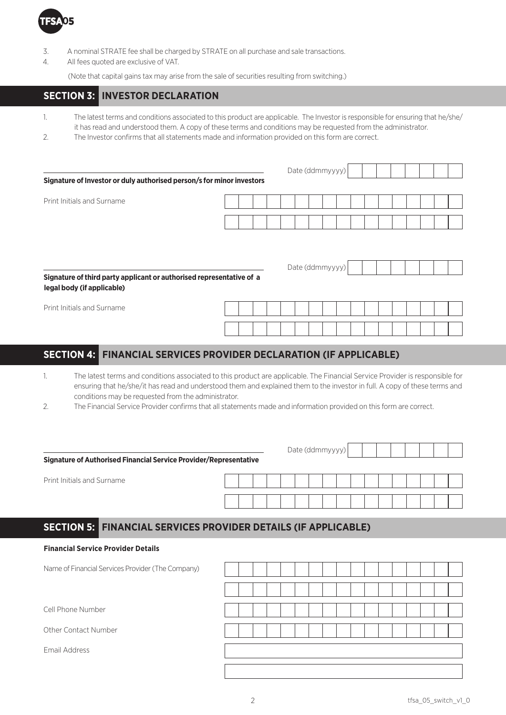

- 3. A nominal STRATE fee shall be charged by STRATE on all purchase and sale transactions.
- 4. All fees quoted are exclusive of VAT.

(Note that capital gains tax may arise from the sale of securities resulting from switching.)

## **SECTION 3: INVESTOR DECLARATION**

- 1. The latest terms and conditions associated to this product are applicable. The Investor is responsible for ensuring that he/she/ it has read and understood them. A copy of these terms and conditions may be requested from the administrator.
- 2. The Investor confirms that all statements made and information provided on this form are correct.

|                                                                       | Date (ddmmyyyy) |  |  |  |  |  |  |  |  |  |  |
|-----------------------------------------------------------------------|-----------------|--|--|--|--|--|--|--|--|--|--|
| Signature of Investor or duly authorised person/s for minor investors |                 |  |  |  |  |  |  |  |  |  |  |
| Print Initials and Surname                                            |                 |  |  |  |  |  |  |  |  |  |  |
|                                                                       |                 |  |  |  |  |  |  |  |  |  |  |
|                                                                       |                 |  |  |  |  |  |  |  |  |  |  |

### **Signature of third party applicant or authorised representative of a legal body (if applicable)**

Print Initials and Surname

 $D_{\rm obs}$  (ddm yyyyyy)

Date (ddmmyyyy)

## **SECTION 4: FINANCIAL SERVICES PROVIDER DECLARATION (IF APPLICABLE)**

- 1. The latest terms and conditions associated to this product are applicable. The Financial Service Provider is responsible for ensuring that he/she/it has read and understood them and explained them to the investor in full. A copy of these terms and conditions may be requested from the administrator.
- 2. The Financial Service Provider confirms that all statements made and information provided on this form are correct.

|                                                                       | Date (ddmmyyyy) |  |
|-----------------------------------------------------------------------|-----------------|--|
| Signature of Authorised Financial Service Provider/Representative     |                 |  |
| Print Initials and Surname                                            |                 |  |
|                                                                       |                 |  |
| <b>SECTION 5: FINANCIAL SERVICES PROVIDER DETAILS (IF APPLICABLE)</b> |                 |  |
| <b>Financial Service Provider Details</b>                             |                 |  |
| Name of Financial Services Provider (The Company)                     |                 |  |
|                                                                       |                 |  |
| Cell Phone Number                                                     |                 |  |
| Other Contact Number                                                  |                 |  |
| Email Address                                                         |                 |  |
|                                                                       |                 |  |